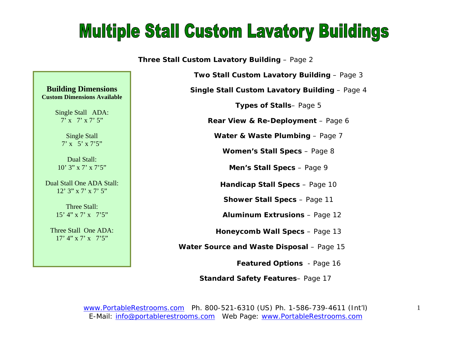### **Multiple Stall Custom Lavatory Buildings**

**Three Stall Custom Lavatory Building** – Page 2

**Two Stall Custom Lavatory Building - Page 3** 

**Single Stall Custom Lavatory Building** – Page 4

**Types of Stalls**– Page 5

**Rear View & Re-Deployment** – Page 6

**Water & Waste Plumbing – Page 7** 

**Women's Stall Specs** – Page 8

**Men's Stall Specs** – Page 9

**Handicap Stall Specs** – Page 10

**Shower Stall Specs** – Page 11

 **Aluminum Extrusions** – Page 12

**Honeycomb Wall Specs** – Page 13

 **Water Source and Waste Disposal** – Page 15

**Featured Options** - Page 16

 **Standard Safety Features**– Page 17

www.PortableRestrooms.com Ph. 800-521-6310 (US) Ph. 1-586-739-4611 (Int'l) E-Mail: info@portablerestrooms.com Web Page: www.PortableRestrooms.com

**Building Dimensions Custom Dimensions Available** 

> Single Stall ADA: 7' x 7' x 7' 5"

> > Single Stall 7' x 5' x 7'5"

Dual Stall: 10' 3" x 7' x 7'5"

Dual Stall One ADA Stall: 12' 3" x 7' x 7' 5"

> Three Stall: 15' 4" x 7' x 7'5"

Three Stall One ADA: 17' 4" x 7' x 7'5"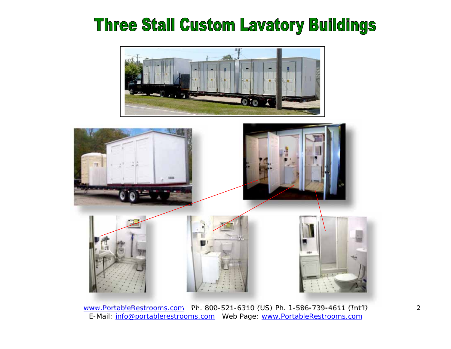### **Three Stall Custom Lavatory Buildings**



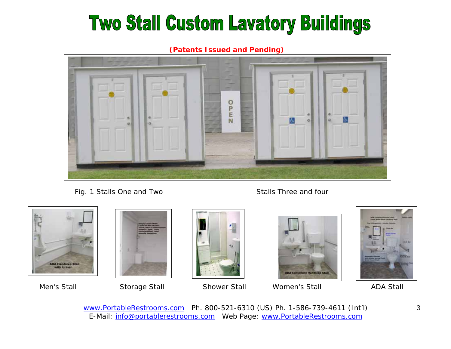# **Two Stall Custom Lavatory Buildings**

**(Patents Issued and Pending)**



Fig. 1 Stalls One and Two Stalls Three and four







Men's Stall Storage Stall Shower Stall Women's Stall ADA Stall

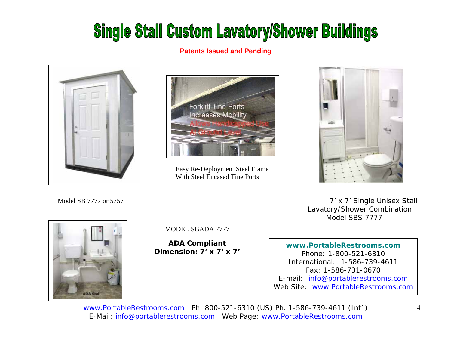## **Single Stall Custom Lavatory/Shower Buildings**

#### **Patents Issued and Pending**





 Easy Re-Deployment Steel Frame With Steel Encased Tine Ports



 7' x 7' Single Unisex Stall Lavatory/Shower Combination Model SBS 7777



Model SB 7777 or 5757

MODEL SBADA 7777

**ADA Compliant Dimension: 7' x 7' x 7'** 

**www.PortableRestrooms.com** Phone: 1-800-521-6310 International: 1-586-739-4611 Fax: 1-586-731-0670 E-mail: info@portablerestrooms.com Web Site: www.PortableRestrooms.com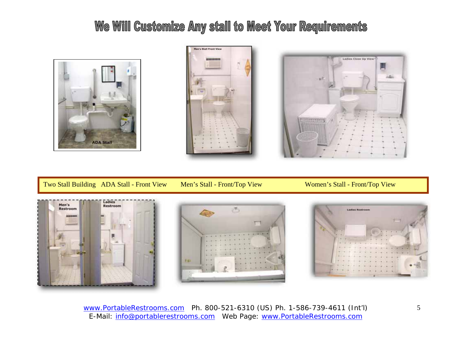### We Will Customize Any stall to Meet Your Requirements







Two Stall Building ADA Stall - Front View Men's Stall - Front/Top View Women's Stall - Front/Top View





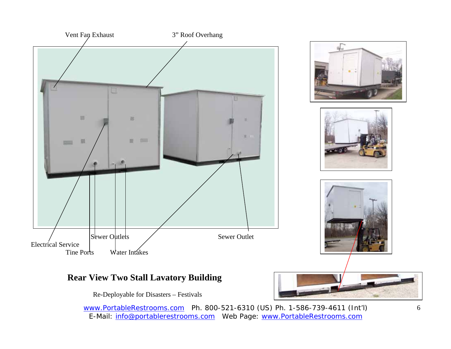

#### **Rear View Two Stall Lavatory Building**

Re-Deployable for Disasters – Festivals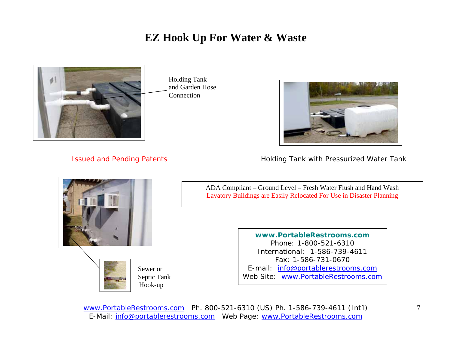### **EZ Hook Up For Water & Waste**



 Holding Tank and Garden Hose Connection



Issued and Pending Patents **Holding Tank with Pressurized Water Tank** 



 Sewer or Septic Tank Hook-up

ADA Compliant – Ground Level – Fresh Water Flush and Hand Wash Lavatory Buildings are Easily Relocated For Use in Disaster Planning

> **www.PortableRestrooms.com** Phone: 1-800-521-6310 International: 1-586-739-4611 Fax: 1-586-731-0670 E-mail: info@portablerestrooms.com Web Site: www.PortableRestrooms.com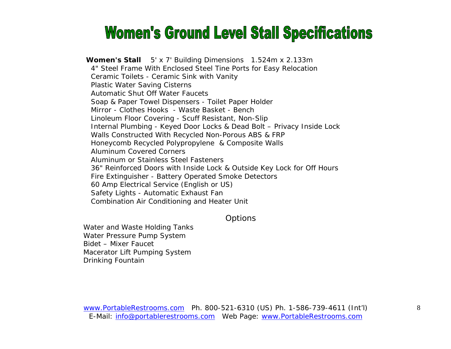### **Women's Ground Level Stall Specifications**

**Women's Stall** 5' x 7' Building Dimensions 1.524m x 2.133m 4" Steel Frame With Enclosed Steel Tine Ports for Easy Relocation Ceramic Toilets - Ceramic Sink with Vanity Plastic Water Saving Cisterns Automatic Shut Off Water Faucets Soap & Paper Towel Dispensers - Toilet Paper Holder Mirror - Clothes Hooks - Waste Basket - Bench Linoleum Floor Covering - Scuff Resistant, Non-Slip Internal Plumbing - Keyed Door Locks & Dead Bolt – Privacy Inside Lock Walls Constructed With Recycled Non-Porous ABS & FRP Honeycomb Recycled Polypropylene & Composite Walls Aluminum Covered Corners Aluminum or Stainless Steel Fasteners 36" Reinforced Doors with Inside Lock & Outside Key Lock for Off Hours Fire Extinguisher - Battery Operated Smoke Detectors 60 Amp Electrical Service (English or US) Safety Lights - Automatic Exhaust Fan Combination Air Conditioning and Heater Unit

#### **Options**

Water and Waste Holding Tanks Water Pressure Pump System Bidet – Mixer Faucet Macerator Lift Pumping System Drinking Fountain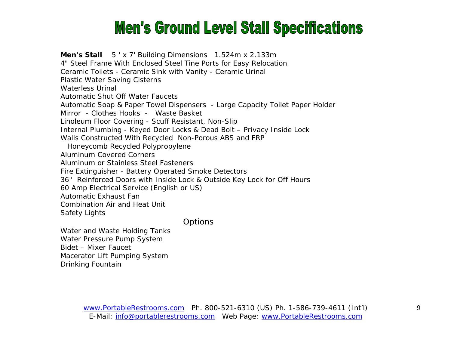### **Men's Ground Level Stall Specifications**

**Men's Stall** 5 ' x 7' Building Dimensions 1.524m x 2.133m 4" Steel Frame With Enclosed Steel Tine Ports for Easy Relocation Ceramic Toilets - Ceramic Sink with Vanity - Ceramic Urinal Plastic Water Saving Cisterns Waterless Urinal Automatic Shut Off Water Faucets Automatic Soap & Paper Towel Dispensers - Large Capacity Toilet Paper Holder Mirror - Clothes Hooks - Waste Basket Linoleum Floor Covering - Scuff Resistant, Non-Slip Internal Plumbing - Keyed Door Locks & Dead Bolt – Privacy Inside Lock Walls Constructed With Recycled Non-Porous ABS and FRP Honeycomb Recycled Polypropylene Aluminum Covered Corners Aluminum or Stainless Steel Fasteners Fire Extinguisher - Battery Operated Smoke Detectors 36" Reinforced Doors with Inside Lock & Outside Key Lock for Off Hours 60 Amp Electrical Service (English or US) Automatic Exhaust Fan Combination Air and Heat Unit Safety Lights

**Options** 

Water and Waste Holding Tanks Water Pressure Pump System Bidet – Mixer Faucet Macerator Lift Pumping System Drinking Fountain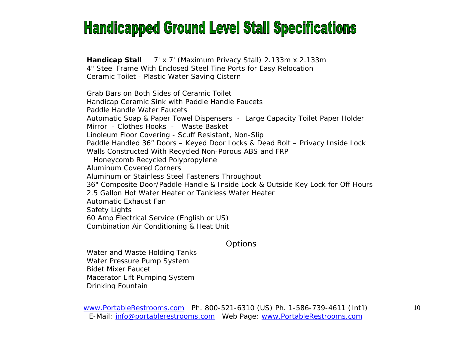### **Handicapped Ground Level Stall Specifications**

**Handicap Stall** 7' x 7' (Maximum Privacy Stall) 2.133m x 2.133m 4" Steel Frame With Enclosed Steel Tine Ports for Easy Relocation Ceramic Toilet - Plastic Water Saving Cistern

Grab Bars on Both Sides of Ceramic Toilet Handicap Ceramic Sink with Paddle Handle Faucets Paddle Handle Water Faucets Automatic Soap & Paper Towel Dispensers - Large Capacity Toilet Paper Holder Mirror - Clothes Hooks - Waste Basket Linoleum Floor Covering - Scuff Resistant, Non-Slip Paddle Handled 36" Doors – Keyed Door Locks & Dead Bolt – Privacy Inside Lock Walls Constructed With Recycled Non-Porous ABS and FRP Honeycomb Recycled Polypropylene Aluminum Covered Corners Aluminum or Stainless Steel Fasteners Throughout 36" Composite Door/Paddle Handle & Inside Lock & Outside Key Lock for Off Hours 2.5 Gallon Hot Water Heater or Tankless Water Heater Automatic Exhaust Fan Safety Lights 60 Amp Electrical Service (English or US) Combination Air Conditioning & Heat Unit

#### **Options**

Water and Waste Holding Tanks Water Pressure Pump System Bidet Mixer Faucet Macerator Lift Pumping System Drinking Fountain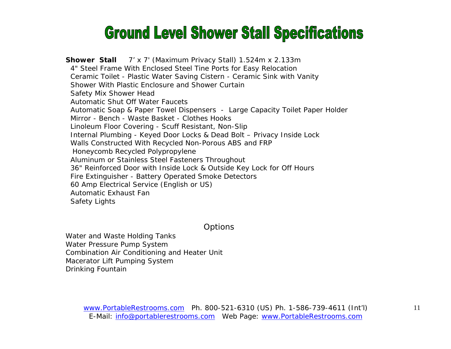### **Ground Level Shower Stall Specifications**

**Shower Stall** 7' x 7' (Maximum Privacy Stall) 1.524m x 2.133m 4" Steel Frame With Enclosed Steel Tine Ports for Easy Relocation Ceramic Toilet - Plastic Water Saving Cistern - Ceramic Sink with Vanity Shower With Plastic Enclosure and Shower Curtain Safety Mix Shower Head Automatic Shut Off Water Faucets Automatic Soap & Paper Towel Dispensers - Large Capacity Toilet Paper Holder Mirror - Bench - Waste Basket - Clothes Hooks Linoleum Floor Covering - Scuff Resistant, Non-Slip Internal Plumbing - Keyed Door Locks & Dead Bolt – Privacy Inside Lock Walls Constructed With Recycled Non-Porous ABS and FRP Honeycomb Recycled Polypropylene Aluminum or Stainless Steel Fasteners Throughout 36" Reinforced Door with Inside Lock & Outside Key Lock for Off Hours Fire Extinguisher - Battery Operated Smoke Detectors 60 Amp Electrical Service (English or US) Automatic Exhaust Fan Safety Lights

**Options** 

Water and Waste Holding Tanks Water Pressure Pump System Combination Air Conditioning and Heater Unit Macerator Lift Pumping System Drinking Fountain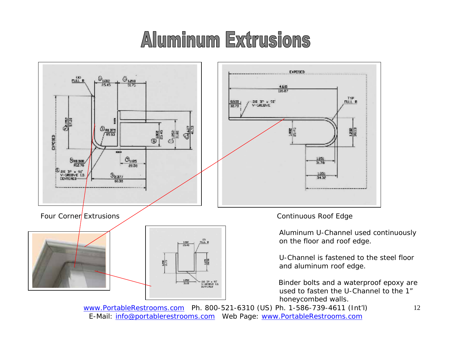# Aluminum Extrusions



www.PortableRestrooms.com Ph. 800-521-6310 (US) Ph. 1-586-739-4611 (Int'l) E-Mail: info@portablerestrooms.com Web Page: www.PortableRestrooms.com

12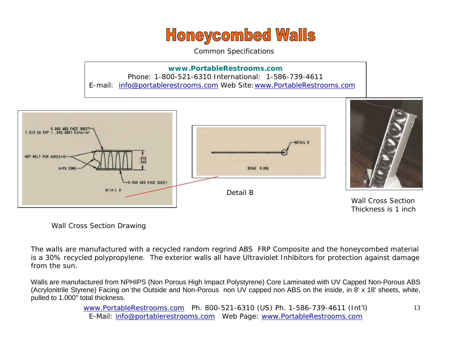### **Honeycombed Walls**

Common Specifications

**www.PortableRestrooms.com** Phone: 1-800-521-6310 International: 1-586-739-4611 E-mail: info@portablerestrooms.com Web Site:www.PortableRestrooms.com



Wall Cross Section Drawing

The walls are manufactured with a recycled random regrind ABS FRP Composite and the honeycombed material is a 30% recycled polypropylene. The exterior walls all have Ultraviolet Inhibitors for protection against damage from the sun.

Walls are manufactured from NPHIPS (Non Porous High Impact Polystyrene) Core Laminated with UV Capped Non-Porous ABS (Acrylonitrile Styrene) Facing on the Outside and Non-Porous non UV capped non ABS on the inside, in 8' x 18' sheets, white, pulled to 1.000" total thickness.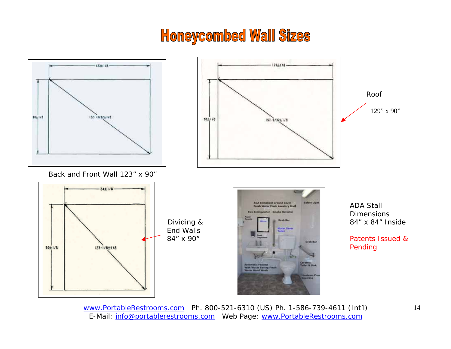### **Honeycombed Wall Sizes**

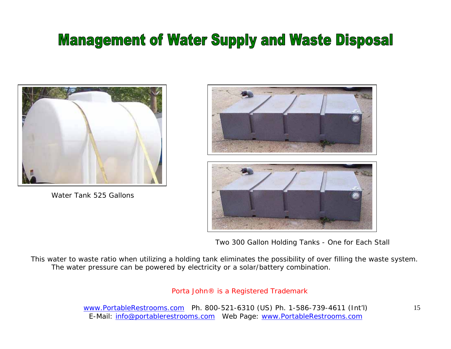### **Management of Water Supply and Waste Disposal**

![](_page_14_Picture_1.jpeg)

Water Tank 525 Gallons

![](_page_14_Picture_3.jpeg)

Two 300 Gallon Holding Tanks - One for Each Stall

This water to waste ratio when utilizing a holding tank eliminates the possibility of over filling the waste system. The water pressure can be powered by electricity or a solar/battery combination.

#### Porta John® is a Registered Trademark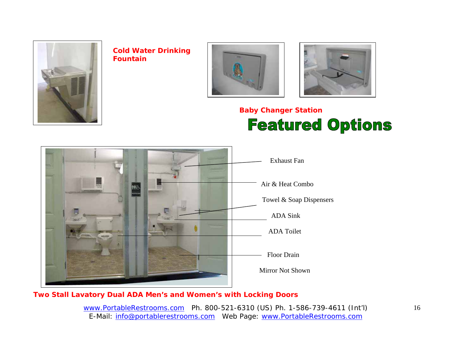![](_page_15_Picture_0.jpeg)

**Cold Water Drinking q Fountain**

![](_page_15_Picture_2.jpeg)

![](_page_15_Picture_3.jpeg)

### **Baby Changer Station Featured Options**

![](_page_15_Picture_5.jpeg)

#### **Two Stall Lavatory Dual ADA Men's and Women's with Locking Doors**